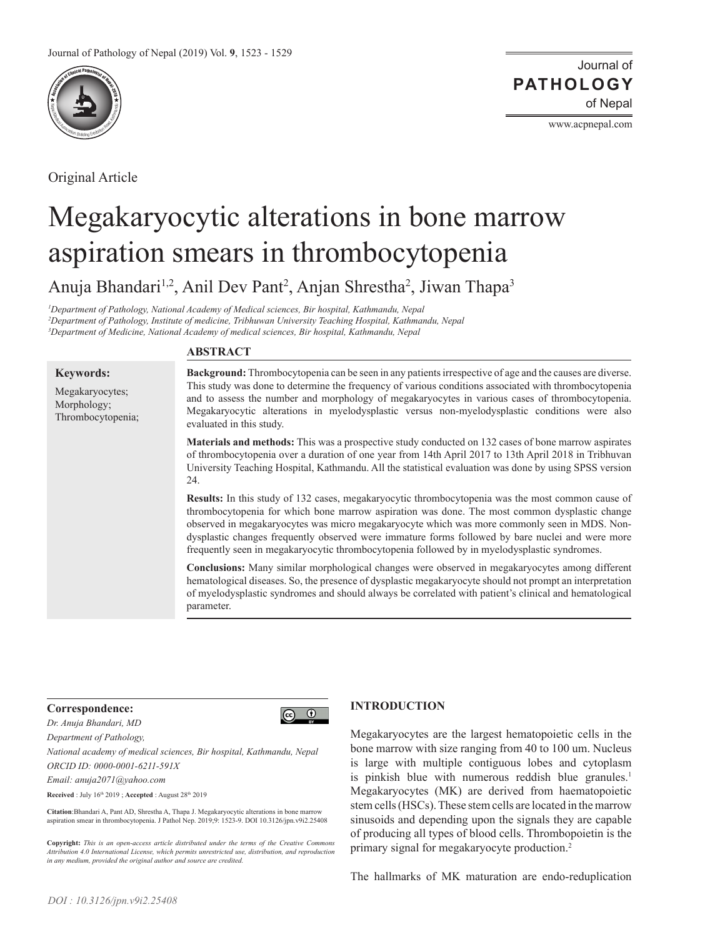

Original Article

Journal of of Nepal **PATHOLOGY**

www.acpnepal.com

# Megakaryocytic alterations in bone marrow aspiration smears in thrombocytopenia

Anuja Bhandari<sup>1,2</sup>, Anil Dev Pant<sup>2</sup>, Anjan Shrestha<sup>2</sup>, Jiwan Thapa<sup>3</sup>

*1 Department of Pathology, National Academy of Medical sciences, Bir hospital, Kathmandu, Nepal 2 Department of Pathology, Institute of medicine, Tribhuwan University Teaching Hospital, Kathmandu, Nepal 3 Department of Medicine, National Academy of medical sciences, Bir hospital, Kathmandu, Nepal*

#### **Keywords:**

Megakaryocytes; Morphology; Thrombocytopenia;

# **ABSTRACT**

**Background:** Thrombocytopenia can be seen in any patients irrespective of age and the causes are diverse. This study was done to determine the frequency of various conditions associated with thrombocytopenia and to assess the number and morphology of megakaryocytes in various cases of thrombocytopenia. Megakaryocytic alterations in myelodysplastic versus non-myelodysplastic conditions were also evaluated in this study.

**Materials and methods:** This was a prospective study conducted on 132 cases of bone marrow aspirates of thrombocytopenia over a duration of one year from 14th April 2017 to 13th April 2018 in Tribhuvan University Teaching Hospital, Kathmandu. All the statistical evaluation was done by using SPSS version 24.

**Results:** In this study of 132 cases, megakaryocytic thrombocytopenia was the most common cause of thrombocytopenia for which bone marrow aspiration was done. The most common dysplastic change observed in megakaryocytes was micro megakaryocyte which was more commonly seen in MDS. Nondysplastic changes frequently observed were immature forms followed by bare nuclei and were more frequently seen in megakaryocytic thrombocytopenia followed by in myelodysplastic syndromes.

**Conclusions:** Many similar morphological changes were observed in megakaryocytes among different hematological diseases. So, the presence of dysplastic megakaryocyte should not prompt an interpretation of myelodysplastic syndromes and should always be correlated with patient's clinical and hematological parameter.

## **Correspondence:**



*Dr. Anuja Bhandari, MD*

*Department of Pathology,* 

*National academy of medical sciences, Bir hospital, Kathmandu, Nepal ORCID ID: 0000-0001-6211-591X*

*Email: anuja2071@yahoo.com*

**Received** : July 16th 2019 ; **Accepted** : August 28th 2019

**Citation**:Bhandari A, Pant AD, Shrestha A, Thapa J. Megakaryocytic alterations in bone marrow aspiration smear in thrombocytopenia. J Pathol Nep. 2019;9: 1523-9. DOI 10.3126/jpn.v9i2.25408

**Copyright:** *This is an open-access article distributed under the terms of the Creative Commons Attribution 4.0 International License, which permits unrestricted use, distribution, and reproduction in any medium, provided the original author and source are credited.*

# **INTRODUCTION**

Megakaryocytes are the largest hematopoietic cells in the bone marrow with size ranging from 40 to 100 um. Nucleus is large with multiple contiguous lobes and cytoplasm is pinkish blue with numerous reddish blue granules.<sup>1</sup> Megakaryocytes (MK) are derived from haematopoietic stem cells (HSCs). These stem cells are located in the marrow sinusoids and depending upon the signals they are capable of producing all types of blood cells. Thrombopoietin is the primary signal for megakaryocyte production.2

The hallmarks of MK maturation are endo-reduplication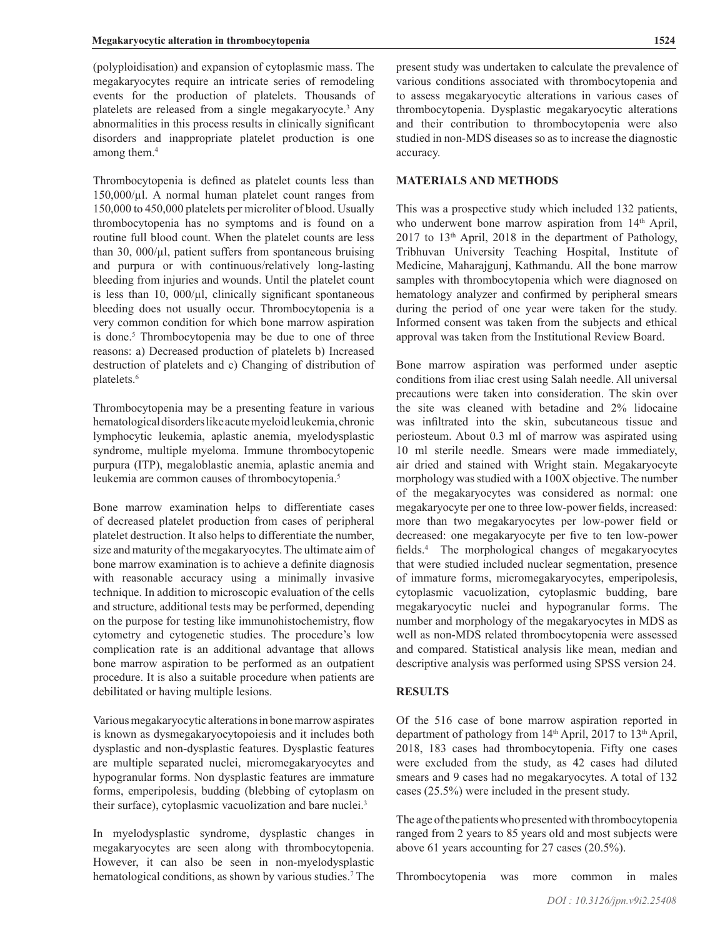(polyploidisation) and expansion of cytoplasmic mass. The megakaryocytes require an intricate series of remodeling events for the production of platelets. Thousands of platelets are released from a single megakaryocyte.<sup>3</sup> Any abnormalities in this process results in clinically significant disorders and inappropriate platelet production is one among them.<sup>4</sup>

Thrombocytopenia is defined as platelet counts less than  $150,000/\mu$ l. A normal human platelet count ranges from 150,000 to 450,000 platelets per microliter of blood. Usually thrombocytopenia has no symptoms and is found on a routine full blood count. When the platelet counts are less than 30,  $000/\mu$ l, patient suffers from spontaneous bruising and purpura or with continuous/relatively long-lasting bleeding from injuries and wounds. Until the platelet count is less than 10,  $000/\mu$ , clinically significant spontaneous bleeding does not usually occur. Thrombocytopenia is a very common condition for which bone marrow aspiration is done.<sup>5</sup> Thrombocytopenia may be due to one of three reasons: a) Decreased production of platelets b) Increased destruction of platelets and c) Changing of distribution of platelets.6

Thrombocytopenia may be a presenting feature in various hematological disorders like acute myeloid leukemia, chronic lymphocytic leukemia, aplastic anemia, myelodysplastic syndrome, multiple myeloma. Immune thrombocytopenic purpura (ITP), megaloblastic anemia, aplastic anemia and leukemia are common causes of thrombocytopenia.5

Bone marrow examination helps to differentiate cases of decreased platelet production from cases of peripheral platelet destruction. It also helps to differentiate the number, size and maturity of the megakaryocytes. The ultimate aim of bone marrow examination is to achieve a definite diagnosis with reasonable accuracy using a minimally invasive technique. In addition to microscopic evaluation of the cells and structure, additional tests may be performed, depending on the purpose for testing like immunohistochemistry, flow cytometry and cytogenetic studies. The procedure's low complication rate is an additional advantage that allows bone marrow aspiration to be performed as an outpatient procedure. It is also a suitable procedure when patients are debilitated or having multiple lesions.

Various megakaryocytic alterations in bone marrow aspirates is known as dysmegakaryocytopoiesis and it includes both dysplastic and non-dysplastic features. Dysplastic features are multiple separated nuclei, micromegakaryocytes and hypogranular forms. Non dysplastic features are immature forms, emperipolesis, budding (blebbing of cytoplasm on their surface), cytoplasmic vacuolization and bare nuclei.3

In myelodysplastic syndrome, dysplastic changes in megakaryocytes are seen along with thrombocytopenia. However, it can also be seen in non-myelodysplastic hematological conditions, as shown by various studies.<sup>7</sup> The present study was undertaken to calculate the prevalence of various conditions associated with thrombocytopenia and to assess megakaryocytic alterations in various cases of thrombocytopenia. Dysplastic megakaryocytic alterations and their contribution to thrombocytopenia were also studied in non-MDS diseases so as to increase the diagnostic accuracy.

## **MATERIALS AND METHODS**

This was a prospective study which included 132 patients, who underwent bone marrow aspiration from  $14<sup>th</sup>$  April,  $2017$  to  $13<sup>th</sup>$  April,  $2018$  in the department of Pathology, Tribhuvan University Teaching Hospital, Institute of Medicine, Maharajgunj, Kathmandu. All the bone marrow samples with thrombocytopenia which were diagnosed on hematology analyzer and confirmed by peripheral smears during the period of one year were taken for the study. Informed consent was taken from the subjects and ethical approval was taken from the Institutional Review Board.

Bone marrow aspiration was performed under aseptic conditions from iliac crest using Salah needle. All universal precautions were taken into consideration. The skin over the site was cleaned with betadine and 2% lidocaine was infiltrated into the skin, subcutaneous tissue and periosteum. About 0.3 ml of marrow was aspirated using 10 ml sterile needle. Smears were made immediately, air dried and stained with Wright stain. Megakaryocyte morphology was studied with a 100X objective. The number of the megakaryocytes was considered as normal: one megakaryocyte per one to three low-power fields, increased: more than two megakaryocytes per low-power field or decreased: one megakaryocyte per five to ten low-power fields.<sup>4</sup> The morphological changes of megakaryocytes that were studied included nuclear segmentation, presence of immature forms, micromegakaryocytes, emperipolesis, cytoplasmic vacuolization, cytoplasmic budding, bare megakaryocytic nuclei and hypogranular forms. The number and morphology of the megakaryocytes in MDS as well as non-MDS related thrombocytopenia were assessed and compared. Statistical analysis like mean, median and descriptive analysis was performed using SPSS version 24.

## **RESULTS**

Of the 516 case of bone marrow aspiration reported in department of pathology from 14<sup>th</sup> April, 2017 to 13<sup>th</sup> April, 2018, 183 cases had thrombocytopenia. Fifty one cases were excluded from the study, as 42 cases had diluted smears and 9 cases had no megakaryocytes. A total of 132 cases (25.5%) were included in the present study.

The age of the patients who presented with thrombocytopenia ranged from 2 years to 85 years old and most subjects were above 61 years accounting for 27 cases (20.5%).

Thrombocytopenia was more common in males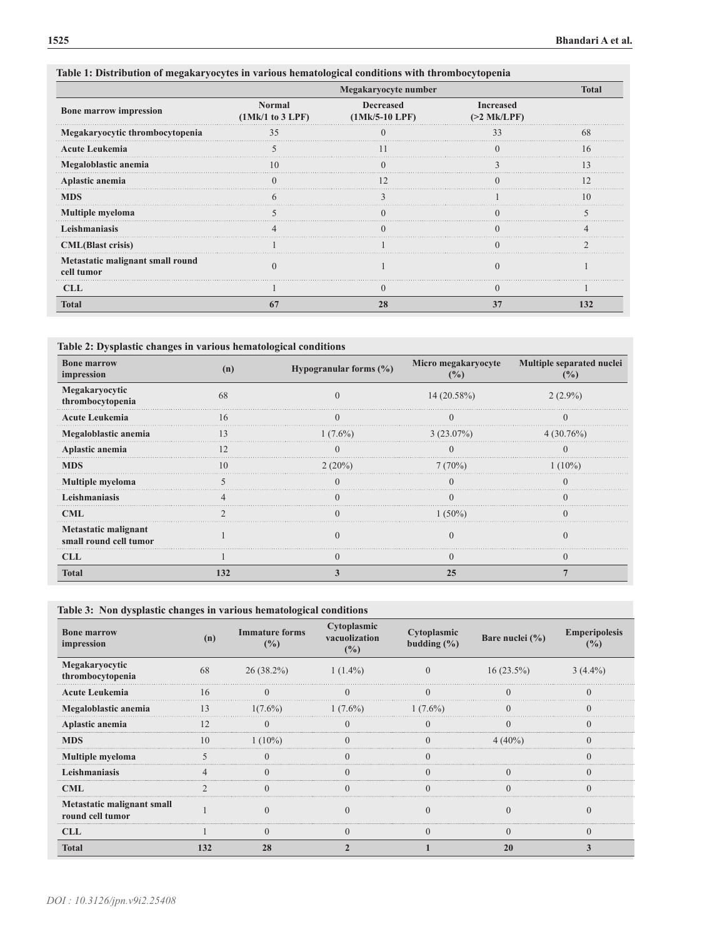|                                                | Megakaryocyte number       |                                      |                                   |     |
|------------------------------------------------|----------------------------|--------------------------------------|-----------------------------------|-----|
| <b>Bone marrow impression</b>                  | Normal<br>(1Mk/1 to 3 LPF) | <b>Decreased</b><br>$(1Mk/5-10 LPF)$ | <b>Increased</b><br>$(>2$ Mk/LPF) |     |
| Megakaryocytic thrombocytopenia                | 35                         |                                      |                                   |     |
| <b>Acute Leukemia</b>                          |                            |                                      |                                   |     |
| Megaloblastic anemia                           |                            |                                      |                                   |     |
| Aplastic anemia                                |                            |                                      |                                   |     |
| <b>MDS</b>                                     |                            |                                      |                                   |     |
| Multiple myeloma                               |                            |                                      |                                   |     |
| Leishmaniasis                                  |                            |                                      |                                   |     |
| <b>CML</b> (Blast crisis)                      |                            |                                      |                                   |     |
| Metastatic malignant small round<br>cell tumor |                            |                                      |                                   |     |
| <b>CLL</b>                                     |                            |                                      |                                   |     |
| Total                                          |                            | 28                                   |                                   | 132 |

# **Table 1: Distribution of megakaryocytes in various hematological conditions with thrombocytopenia**

**Table 2: Dysplastic changes in various hematological conditions** 

| <b>Bone marrow</b><br>impression               |            | Hypogranular forms $(\%)$ | Micro megakaryocyte | Multiple separated nuclei<br>$\frac{9}{6}$ |
|------------------------------------------------|------------|---------------------------|---------------------|--------------------------------------------|
| Megakaryocytic<br>thrombocytopenia             | 68         |                           | $14(20.58\%)$       | $2(2.9\%)$                                 |
| <b>Acute Leukemia</b>                          | $\sqrt{2}$ |                           |                     |                                            |
| Megaloblastic anemia                           |            | $(0.6\%)$                 | $3(23.07\%)$        | $4(30.76\%)$                               |
| Aplastic anemia                                |            |                           |                     |                                            |
| <b>MDS</b>                                     |            | $2(20\%)$                 | $7(70\%)$           |                                            |
| <b>Multiple myeloma</b>                        |            |                           |                     |                                            |
| Leishmaniasis                                  |            |                           |                     |                                            |
| CML                                            |            |                           | $ 1^{\circ}/_{0} $  |                                            |
| Metastatic malignant<br>small round cell tumor |            |                           |                     |                                            |
| CLL                                            |            |                           |                     |                                            |
| Total                                          |            |                           |                     |                                            |

## **Table 3: Non dysplastic changes in various hematological conditions**

| <b>Bone marrow</b><br>impression               | (n) | <b>Immature forms</b><br>(%) | Cytoplasmic<br>vacuolization<br>(%) | Cytoplasmic<br>budding $(\% )$ | Bare nuclei (%) | <b>Emperipolesis</b><br>(%) |
|------------------------------------------------|-----|------------------------------|-------------------------------------|--------------------------------|-----------------|-----------------------------|
| Megakaryocytic<br>thrombocytopenia             | 68  | $26(38.2\%)$                 | $1(1.4\%)$                          |                                | $16(23.5\%)$    | $3(4.4\%)$                  |
| <b>Acute Leukemia</b>                          | 16  |                              |                                     |                                |                 |                             |
| Megaloblastic anemia                           | 13  | $1(7.6\%)$                   | $1(7.6\%)$                          | $1(7.6\%)$                     |                 |                             |
| Aplastic anemia                                |     |                              |                                     |                                |                 |                             |
| <b>MDS</b>                                     | 10  | $1(10\%)$                    |                                     |                                | $4(40\%)$       |                             |
| Multiple myeloma                               |     |                              |                                     |                                |                 |                             |
| Leishmaniasis                                  |     |                              |                                     |                                |                 |                             |
| <b>CML</b>                                     |     | $\Omega$                     |                                     |                                | $\Omega$        |                             |
| Metastatic malignant small<br>round cell tumor |     |                              |                                     |                                |                 |                             |
| <b>CLL</b>                                     |     |                              |                                     |                                |                 |                             |
| <b>Total</b>                                   | 132 | 28                           |                                     |                                | 20              |                             |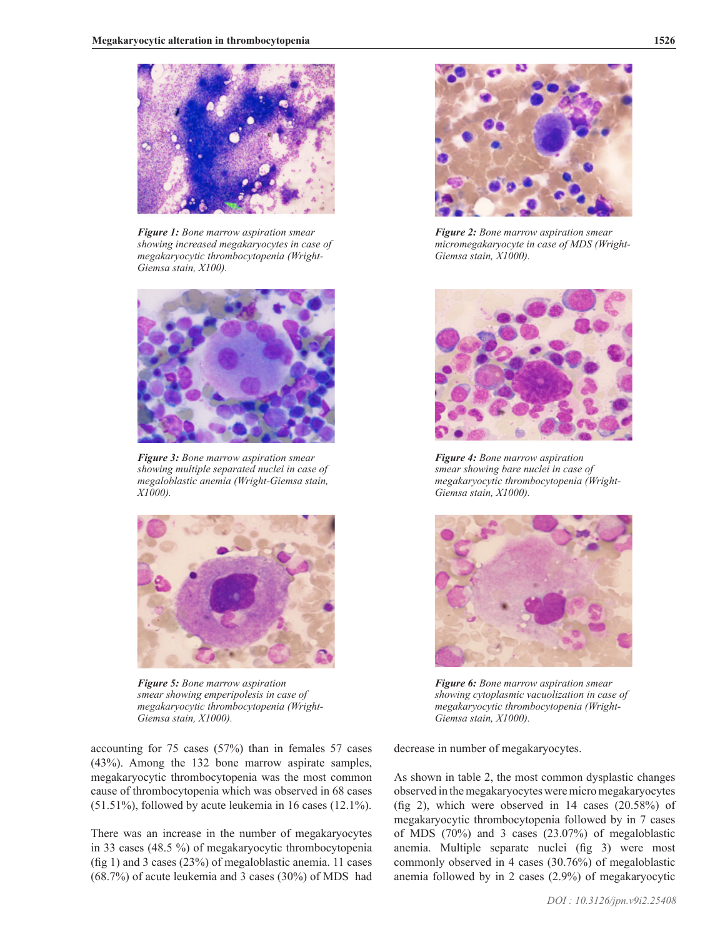

*Figure 1: Bone marrow aspiration smear showing increased megakaryocytes in case of megakaryocytic thrombocytopenia (Wright-Giemsa stain, X100).*



*Figure 3: Bone marrow aspiration smear showing multiple separated nuclei in case of megaloblastic anemia (Wright-Giemsa stain, X1000).*



*Figure 5: Bone marrow aspiration smear showing emperipolesis in case of megakaryocytic thrombocytopenia (Wright-Giemsa stain, X1000).*

accounting for 75 cases (57%) than in females 57 cases (43%). Among the 132 bone marrow aspirate samples, megakaryocytic thrombocytopenia was the most common cause of thrombocytopenia which was observed in 68 cases (51.51%), followed by acute leukemia in 16 cases (12.1%).

There was an increase in the number of megakaryocytes in 33 cases (48.5 %) of megakaryocytic thrombocytopenia (fig 1) and 3 cases (23%) of megaloblastic anemia. 11 cases (68.7%) of acute leukemia and 3 cases (30%) of MDS had



*Figure 2: Bone marrow aspiration smear micromegakaryocyte in case of MDS (Wright-Giemsa stain, X1000).*



*Figure 4: Bone marrow aspiration smear showing bare nuclei in case of megakaryocytic thrombocytopenia (Wright-Giemsa stain, X1000).*



*Figure 6: Bone marrow aspiration smear showing cytoplasmic vacuolization in case of megakaryocytic thrombocytopenia (Wright-Giemsa stain, X1000).*

decrease in number of megakaryocytes.

As shown in table 2, the most common dysplastic changes observed in the megakaryocytes were micro megakaryocytes (fig 2), which were observed in 14 cases (20.58%) of megakaryocytic thrombocytopenia followed by in 7 cases of MDS (70%) and 3 cases (23.07%) of megaloblastic anemia. Multiple separate nuclei (fig 3) were most commonly observed in 4 cases (30.76%) of megaloblastic anemia followed by in 2 cases (2.9%) of megakaryocytic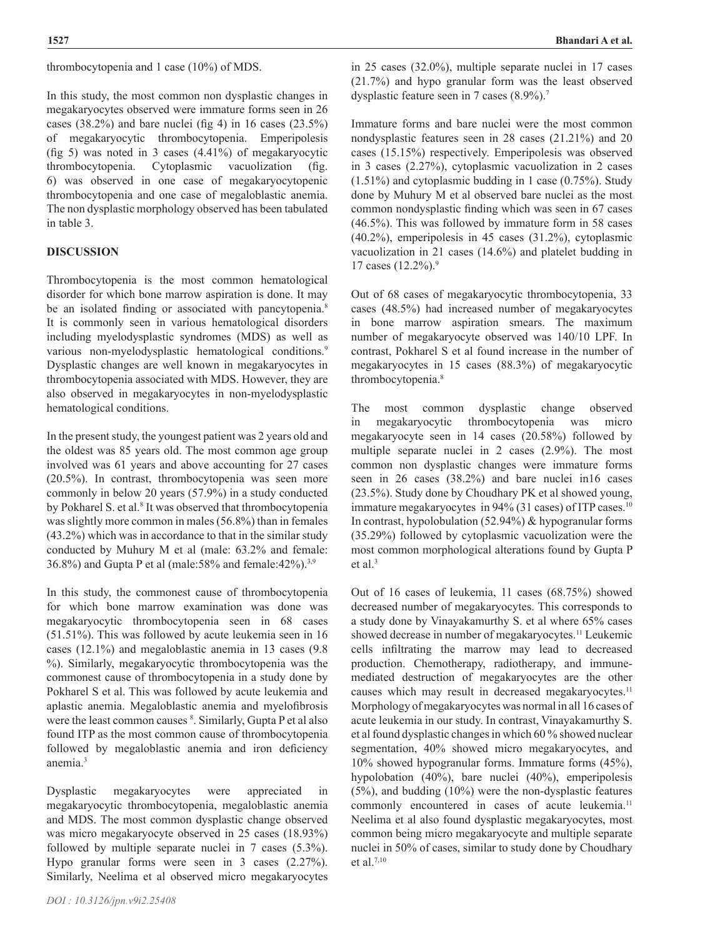thrombocytopenia and 1 case (10%) of MDS.

In this study, the most common non dysplastic changes in megakaryocytes observed were immature forms seen in 26 cases (38.2%) and bare nuclei (fig 4) in 16 cases (23.5%) of megakaryocytic thrombocytopenia. Emperipolesis (fig 5) was noted in 3 cases (4.41%) of megakaryocytic thrombocytopenia. Cytoplasmic vacuolization (fig. 6) was observed in one case of megakaryocytopenic thrombocytopenia and one case of megaloblastic anemia. The non dysplastic morphology observed has been tabulated in table 3.

## **DISCUSSION**

Thrombocytopenia is the most common hematological disorder for which bone marrow aspiration is done. It may be an isolated finding or associated with pancytopenia.<sup>8</sup> It is commonly seen in various hematological disorders including myelodysplastic syndromes (MDS) as well as various non-myelodysplastic hematological conditions.<sup>9</sup> Dysplastic changes are well known in megakaryocytes in thrombocytopenia associated with MDS. However, they are also observed in megakaryocytes in non-myelodysplastic hematological conditions.

In the present study, the youngest patient was 2 years old and the oldest was 85 years old. The most common age group involved was 61 years and above accounting for 27 cases (20.5%). In contrast, thrombocytopenia was seen more commonly in below 20 years (57.9%) in a study conducted by Pokharel S. et al.<sup>8</sup> It was observed that thrombocytopenia was slightly more common in males (56.8%) than in females (43.2%) which was in accordance to that in the similar study conducted by Muhury M et al (male: 63.2% and female: 36.8%) and Gupta P et al (male:58% and female:42%).3,9

In this study, the commonest cause of thrombocytopenia for which bone marrow examination was done was megakaryocytic thrombocytopenia seen in 68 cases (51.51%). This was followed by acute leukemia seen in 16 cases (12.1%) and megaloblastic anemia in 13 cases (9.8 %). Similarly, megakaryocytic thrombocytopenia was the commonest cause of thrombocytopenia in a study done by Pokharel S et al. This was followed by acute leukemia and aplastic anemia. Megaloblastic anemia and myelofibrosis were the least common causes <sup>8</sup>. Similarly, Gupta P et al also found ITP as the most common cause of thrombocytopenia followed by megaloblastic anemia and iron deficiency anemia.3

Dysplastic megakaryocytes were appreciated in megakaryocytic thrombocytopenia, megaloblastic anemia and MDS. The most common dysplastic change observed was micro megakaryocyte observed in 25 cases (18.93%) followed by multiple separate nuclei in 7 cases (5.3%). Hypo granular forms were seen in 3 cases (2.27%). Similarly, Neelima et al observed micro megakaryocytes

in 25 cases (32.0%), multiple separate nuclei in 17 cases (21.7%) and hypo granular form was the least observed dysplastic feature seen in 7 cases (8.9%).<sup>7</sup>

Immature forms and bare nuclei were the most common nondysplastic features seen in 28 cases (21.21%) and 20 cases (15.15%) respectively. Emperipolesis was observed in 3 cases (2.27%), cytoplasmic vacuolization in 2 cases (1.51%) and cytoplasmic budding in 1 case (0.75%). Study done by Muhury M et al observed bare nuclei as the most common nondysplastic finding which was seen in 67 cases (46.5%). This was followed by immature form in 58 cases (40.2%), emperipolesis in 45 cases (31.2%), cytoplasmic vacuolization in 21 cases (14.6%) and platelet budding in 17 cases (12.2%).9

Out of 68 cases of megakaryocytic thrombocytopenia, 33 cases (48.5%) had increased number of megakaryocytes in bone marrow aspiration smears. The maximum number of megakaryocyte observed was 140/10 LPF. In contrast, Pokharel S et al found increase in the number of megakaryocytes in 15 cases (88.3%) of megakaryocytic thrombocytopenia.8

The most common dysplastic change observed in megakaryocytic thrombocytopenia was micro megakaryocyte seen in 14 cases (20.58%) followed by multiple separate nuclei in 2 cases (2.9%). The most common non dysplastic changes were immature forms seen in 26 cases (38.2%) and bare nuclei in16 cases (23.5%). Study done by Choudhary PK et al showed young, immature megakaryocytes in 94% (31 cases) of ITP cases.<sup>10</sup> In contrast, hypolobulation (52.94%) & hypogranular forms (35.29%) followed by cytoplasmic vacuolization were the most common morphological alterations found by Gupta P et al.<sup>3</sup>

Out of 16 cases of leukemia, 11 cases (68.75%) showed decreased number of megakaryocytes. This corresponds to a study done by Vinayakamurthy S. et al where 65% cases showed decrease in number of megakaryocytes.<sup>11</sup> Leukemic cells infiltrating the marrow may lead to decreased production. Chemotherapy, radiotherapy, and immunemediated destruction of megakaryocytes are the other causes which may result in decreased megakaryocytes.<sup>11</sup> Morphology of megakaryocytes was normal in all 16 cases of acute leukemia in our study. In contrast, Vinayakamurthy S. et al found dysplastic changes in which 60 % showed nuclear segmentation, 40% showed micro megakaryocytes, and 10% showed hypogranular forms. Immature forms (45%), hypolobation (40%), bare nuclei (40%), emperipolesis (5%), and budding (10%) were the non-dysplastic features commonly encountered in cases of acute leukemia.<sup>11</sup> Neelima et al also found dysplastic megakaryocytes, most common being micro megakaryocyte and multiple separate nuclei in 50% of cases, similar to study done by Choudhary et al.7,10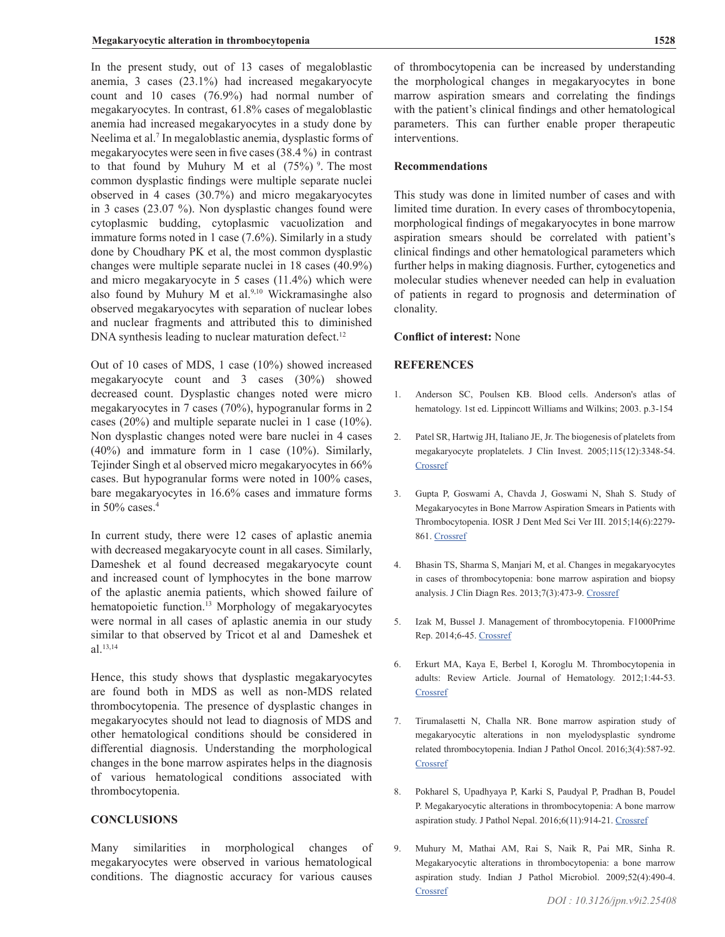In the present study, out of 13 cases of megaloblastic anemia, 3 cases (23.1%) had increased megakaryocyte count and 10 cases (76.9%) had normal number of megakaryocytes. In contrast, 61.8% cases of megaloblastic anemia had increased megakaryocytes in a study done by Neelima et al.<sup>7</sup> In megaloblastic anemia, dysplastic forms of megakaryocytes were seen in five cases (38.4 %) in contrast to that found by Muhury M et al  $(75%)$ <sup>9</sup>. The most common dysplastic findings were multiple separate nuclei observed in 4 cases (30.7%) and micro megakaryocytes in 3 cases (23.07 %). Non dysplastic changes found were cytoplasmic budding, cytoplasmic vacuolization and immature forms noted in 1 case (7.6%). Similarly in a study done by Choudhary PK et al, the most common dysplastic changes were multiple separate nuclei in 18 cases (40.9%) and micro megakaryocyte in 5 cases (11.4%) which were also found by Muhury M et al. $9,10$  Wickramasinghe also observed megakaryocytes with separation of nuclear lobes and nuclear fragments and attributed this to diminished DNA synthesis leading to nuclear maturation defect.<sup>12</sup>

Out of 10 cases of MDS, 1 case (10%) showed increased megakaryocyte count and 3 cases (30%) showed decreased count. Dysplastic changes noted were micro megakaryocytes in 7 cases (70%), hypogranular forms in 2 cases (20%) and multiple separate nuclei in 1 case (10%). Non dysplastic changes noted were bare nuclei in 4 cases (40%) and immature form in 1 case (10%). Similarly, Tejinder Singh et al observed micro megakaryocytes in 66% cases. But hypogranular forms were noted in 100% cases, bare megakaryocytes in 16.6% cases and immature forms in 50% cases.4

In current study, there were 12 cases of aplastic anemia with decreased megakaryocyte count in all cases. Similarly, Dameshek et al found decreased megakaryocyte count and increased count of lymphocytes in the bone marrow of the aplastic anemia patients, which showed failure of hematopoietic function.<sup>13</sup> Morphology of megakaryocytes were normal in all cases of aplastic anemia in our study similar to that observed by Tricot et al and Dameshek et al.13,14

Hence, this study shows that dysplastic megakaryocytes are found both in MDS as well as non-MDS related thrombocytopenia. The presence of dysplastic changes in megakaryocytes should not lead to diagnosis of MDS and other hematological conditions should be considered in differential diagnosis. Understanding the morphological changes in the bone marrow aspirates helps in the diagnosis of various hematological conditions associated with thrombocytopenia.

## **CONCLUSIONS**

Many similarities in morphological changes of megakaryocytes were observed in various hematological conditions. The diagnostic accuracy for various causes

of thrombocytopenia can be increased by understanding the morphological changes in megakaryocytes in bone marrow aspiration smears and correlating the findings with the patient's clinical findings and other hematological parameters. This can further enable proper therapeutic interventions.

### **Recommendations**

This study was done in limited number of cases and with limited time duration. In every cases of thrombocytopenia, morphological findings of megakaryocytes in bone marrow aspiration smears should be correlated with patient's clinical findings and other hematological parameters which further helps in making diagnosis. Further, cytogenetics and molecular studies whenever needed can help in evaluation of patients in regard to prognosis and determination of clonality.

#### **Conflict of interest:** None

### **REFERENCES**

- 1. Anderson SC, Poulsen KB. Blood cells. Anderson's atlas of hematology. 1st ed. Lippincott Williams and Wilkins; 2003. p.3-154
- 2. Patel SR, Hartwig JH, Italiano JE, Jr. The biogenesis of platelets from megakaryocyte proplatelets. J Clin Invest. 2005;115(12):3348-54. [Crossref](https://doi.org/10.1172/JCI26891)
- 3. Gupta P, Goswami A, Chavda J, Goswami N, Shah S. Study of Megakaryocytes in Bone Marrow Aspiration Smears in Patients with Thrombocytopenia. IOSR J Dent Med Sci Ver III. 2015;14(6):2279- 861. [Crossref](DOI: 10.9790/0853-14633033)
- 4. Bhasin TS, Sharma S, Manjari M, et al. Changes in megakaryocytes in cases of thrombocytopenia: bone marrow aspiration and biopsy analysis. J Clin Diagn Res. 2013;7(3):473-9. [Crossref](https://doi.org/10.7860/JCDR/2013/5085.2801)
- 5. Izak M, Bussel J. Management of thrombocytopenia. F1000Prime Rep. 2014;6-45. [Crossref](https://doi.org/10.12703/P6-45)
- 6. Erkurt MA, Kaya E, Berbel I, Koroglu M. Thrombocytopenia in adults: Review Article. Journal of Hematology. 2012;1:44-53. **[Crossref](https://doi.org/10.4021/jh28w)**
- 7. Tirumalasetti N, Challa NR. Bone marrow aspiration study of megakaryocytic alterations in non myelodysplastic syndrome related thrombocytopenia. Indian J Pathol Oncol. 2016;3(4):587-92. **[Crossref](https://doi.org/10.5958/2394-6792.2016.00109.5)**
- 8. Pokharel S, Upadhyaya P, Karki S, Paudyal P, Pradhan B, Poudel P. Megakaryocytic alterations in thrombocytopenia: A bone marrow aspiration study. J Pathol Nepal. 2016;6(11):914-21. [Crossref](https://doi.org/10.3126/jpn.v6i11.15673)
- 9. Muhury M, Mathai AM, Rai S, Naik R, Pai MR, Sinha R. Megakaryocytic alterations in thrombocytopenia: a bone marrow aspiration study. Indian J Pathol Microbiol. 2009;52(4):490-4. **[Crossref](https://doi.org/10.4103/0377-4929.56132)**